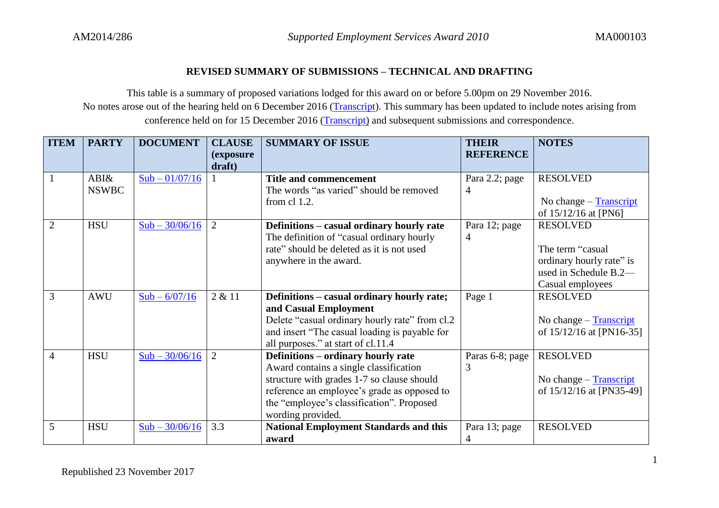## **REVISED SUMMARY OF SUBMISSIONS – TECHNICAL AND DRAFTING**

This table is a summary of proposed variations lodged for this award on or before 5.00pm on 29 November 2016. No notes arose out of the hearing held on 6 December 2016 [\(Transcript\)](https://www.fwc.gov.au/documents/sites/awardsmodernfouryr/20161206-am2014250andors.pdf). This summary has been updated to include notes arising from conference held on for 15 December 2016 [\(Transcript\)](https://www.fwc.gov.au/documents/sites/awardsmodernfouryr/151216-transcript-am2014286.pdf) and subsequent submissions and correspondence.

| <b>ITEM</b>    | <b>PARTY</b> | <b>DOCUMENT</b>  | <b>CLAUSE</b>       | <b>SUMMARY OF ISSUE</b>                        | <b>THEIR</b>     | <b>NOTES</b>                               |
|----------------|--------------|------------------|---------------------|------------------------------------------------|------------------|--------------------------------------------|
|                |              |                  | (exposure<br>draft) |                                                | <b>REFERENCE</b> |                                            |
|                | ABI&         | $Sub - 01/07/16$ |                     | <b>Title and commencement</b>                  | Para 2.2; page   | <b>RESOLVED</b>                            |
|                | <b>NSWBC</b> |                  |                     | The words "as varied" should be removed        | 4                |                                            |
|                |              |                  |                     | from cl 1.2.                                   |                  | No change $-$ Transcript                   |
|                |              |                  |                     |                                                |                  | of 15/12/16 at [PN6]                       |
| $\overline{2}$ | <b>HSU</b>   | $Sub - 30/06/16$ | 2                   | Definitions - casual ordinary hourly rate      | Para 12; page    | <b>RESOLVED</b>                            |
|                |              |                  |                     | The definition of "casual ordinary hourly      | 4                |                                            |
|                |              |                  |                     | rate" should be deleted as it is not used      |                  | The term "casual                           |
|                |              |                  |                     | anywhere in the award.                         |                  | ordinary hourly rate" is                   |
|                |              |                  |                     |                                                |                  | used in Schedule B.2-                      |
|                |              |                  |                     |                                                |                  | Casual employees                           |
| 3              | <b>AWU</b>   | $Sub - 6/07/16$  | 2 & 11              | Definitions – casual ordinary hourly rate;     | Page 1           | <b>RESOLVED</b>                            |
|                |              |                  |                     | and Casual Employment                          |                  |                                            |
|                |              |                  |                     | Delete "casual ordinary hourly rate" from cl.2 |                  | No change $-$ Transcript                   |
|                |              |                  |                     | and insert "The casual loading is payable for  |                  | of 15/12/16 at [PN16-35]                   |
|                |              |                  |                     | all purposes." at start of cl.11.4             |                  |                                            |
| $\overline{4}$ | <b>HSU</b>   | $Sub - 30/06/16$ | $\overline{2}$      | Definitions – ordinary hourly rate             | Paras 6-8; page  | <b>RESOLVED</b>                            |
|                |              |                  |                     | Award contains a single classification         | 3                |                                            |
|                |              |                  |                     | structure with grades 1-7 so clause should     |                  | No change $-\underline{\text{Transcript}}$ |
|                |              |                  |                     | reference an employee's grade as opposed to    |                  | of 15/12/16 at [PN35-49]                   |
|                |              |                  |                     | the "employee's classification". Proposed      |                  |                                            |
|                |              |                  |                     | wording provided.                              |                  |                                            |
| 5              | <b>HSU</b>   | $Sub - 30/06/16$ | 3.3                 | <b>National Employment Standards and this</b>  | Para 13; page    | <b>RESOLVED</b>                            |
|                |              |                  |                     | award                                          | 4                |                                            |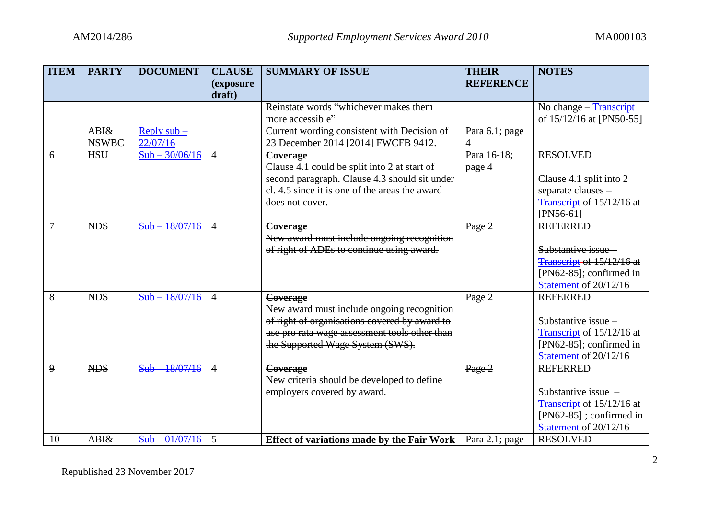| <b>ITEM</b>    | <b>PARTY</b> | <b>DOCUMENT</b>        | <b>CLAUSE</b>  | <b>SUMMARY OF ISSUE</b>                           | <b>THEIR</b>     | <b>NOTES</b>                |
|----------------|--------------|------------------------|----------------|---------------------------------------------------|------------------|-----------------------------|
|                |              |                        | (exposure      |                                                   | <b>REFERENCE</b> |                             |
|                |              |                        | draft)         |                                                   |                  |                             |
|                |              |                        |                | Reinstate words "whichever makes them             |                  | No change - Transcript      |
|                |              |                        |                | more accessible"                                  |                  | of 15/12/16 at [PN50-55]    |
|                | ABI&         | Reply $sub$ –          |                | Current wording consistent with Decision of       | Para 6.1; page   |                             |
|                | <b>NSWBC</b> | 22/07/16               |                | 23 December 2014 [2014] FWCFB 9412.               | $\overline{4}$   |                             |
| 6              | <b>HSU</b>   | $Sub - 30/06/16$       | $\overline{4}$ | Coverage                                          | Para 16-18;      | <b>RESOLVED</b>             |
|                |              |                        |                | Clause 4.1 could be split into 2 at start of      | page 4           |                             |
|                |              |                        |                | second paragraph. Clause 4.3 should sit under     |                  | Clause 4.1 split into 2     |
|                |              |                        |                | cl. 4.5 since it is one of the areas the award    |                  | separate clauses -          |
|                |              |                        |                | does not cover.                                   |                  | Transcript of 15/12/16 at   |
|                |              |                        |                |                                                   |                  | $[PN56-61]$                 |
| $\mathcal{I}$  | <b>NDS</b>   | $Sub$ $18/07/16$       | $\overline{4}$ | Coverage                                          | Page 2           | <b>REFERRED</b>             |
|                |              |                        |                | New award must include ongoing recognition        |                  |                             |
|                |              |                        |                | of right of ADEs to continue using award.         |                  | Substantive issue -         |
|                |              |                        |                |                                                   |                  | Transcript of 15/12/16 at   |
|                |              |                        |                |                                                   |                  | $[PN62-85];$ confirmed in   |
|                |              |                        |                |                                                   |                  | Statement of 20/12/16       |
| 8              | <b>NDS</b>   | 18/07/16<br>$Sub -$    | $\overline{4}$ | <b>Coverage</b>                                   | Page 2           | <b>REFERRED</b>             |
|                |              |                        |                | New award must include ongoing recognition        |                  |                             |
|                |              |                        |                | of right of organisations covered by award to     |                  | Substantive issue -         |
|                |              |                        |                | use pro rata wage assessment tools other than     |                  | Transcript of 15/12/16 at   |
|                |              |                        |                | the Supported Wage System (SWS).                  |                  | [ $PN62-85$ ]; confirmed in |
|                |              |                        |                |                                                   |                  | Statement of 20/12/16       |
| $\overline{9}$ | <b>NDS</b>   | $-18/07/16$<br>$Sub -$ | $\overline{4}$ | Coverage                                          | Page 2           | <b>REFERRED</b>             |
|                |              |                        |                | New criteria should be developed to define        |                  |                             |
|                |              |                        |                | employers covered by award.                       |                  | Substantive issue $-$       |
|                |              |                        |                |                                                   |                  | Transcript of 15/12/16 at   |
|                |              |                        |                |                                                   |                  | $[PN62-85]$ ; confirmed in  |
|                |              |                        |                |                                                   |                  | Statement of 20/12/16       |
| 10             | ABI&         | $Sub - 01/07/16$       | 5              | <b>Effect of variations made by the Fair Work</b> | Para 2.1; page   | <b>RESOLVED</b>             |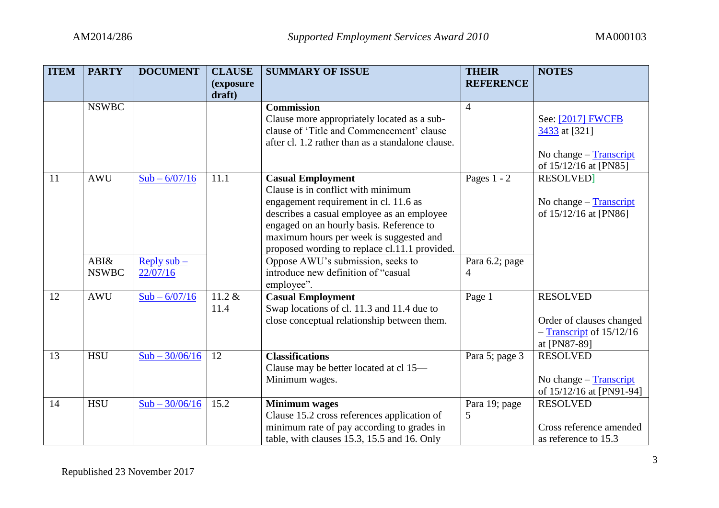| <b>ITEM</b> | <b>PARTY</b> | <b>DOCUMENT</b>  | <b>CLAUSE</b>       | <b>SUMMARY OF ISSUE</b>                           | <b>THEIR</b>     | <b>NOTES</b>                                 |
|-------------|--------------|------------------|---------------------|---------------------------------------------------|------------------|----------------------------------------------|
|             |              |                  | (exposure<br>draft) |                                                   | <b>REFERENCE</b> |                                              |
|             | <b>NSWBC</b> |                  |                     | <b>Commission</b>                                 | $\overline{4}$   |                                              |
|             |              |                  |                     | Clause more appropriately located as a sub-       |                  | See: [2017] FWCFB                            |
|             |              |                  |                     | clause of 'Title and Commencement' clause         |                  | 3433 at [321]                                |
|             |              |                  |                     | after cl. 1.2 rather than as a standalone clause. |                  |                                              |
|             |              |                  |                     |                                                   |                  | No change - Transcript                       |
|             |              |                  |                     |                                                   |                  | of 15/12/16 at [PN85]                        |
| 11          | <b>AWU</b>   | $Sub - 6/07/16$  | 11.1                | <b>Casual Employment</b>                          | Pages $1 - 2$    | <b>RESOLVED</b>                              |
|             |              |                  |                     | Clause is in conflict with minimum                |                  |                                              |
|             |              |                  |                     | engagement requirement in cl. 11.6 as             |                  | No change $-$ Transcript                     |
|             |              |                  |                     | describes a casual employee as an employee        |                  | of 15/12/16 at [PN86]                        |
|             |              |                  |                     | engaged on an hourly basis. Reference to          |                  |                                              |
|             |              |                  |                     | maximum hours per week is suggested and           |                  |                                              |
|             |              |                  |                     | proposed wording to replace cl.11.1 provided.     |                  |                                              |
|             | ABI&         | Reply $sub-$     |                     | Oppose AWU's submission, seeks to                 | Para 6.2; page   |                                              |
|             | <b>NSWBC</b> | 22/07/16         |                     | introduce new definition of "casual               | 4                |                                              |
|             |              |                  |                     | employee".                                        |                  |                                              |
| 12          | <b>AWU</b>   | $Sub - 6/07/16$  | $11.2 \&$           | <b>Casual Employment</b>                          | Page 1           | <b>RESOLVED</b>                              |
|             |              |                  | 11.4                | Swap locations of cl. 11.3 and 11.4 due to        |                  |                                              |
|             |              |                  |                     | close conceptual relationship between them.       |                  | Order of clauses changed                     |
|             |              |                  |                     |                                                   |                  | $-$ Transcript of $15/12/16$<br>at [PN87-89] |
| 13          | <b>HSU</b>   | $Sub - 30/06/16$ | 12                  | <b>Classifications</b>                            | Para 5; page 3   | <b>RESOLVED</b>                              |
|             |              |                  |                     | Clause may be better located at cl 15-            |                  |                                              |
|             |              |                  |                     | Minimum wages.                                    |                  | No change $-$ Transcript                     |
|             |              |                  |                     |                                                   |                  | of 15/12/16 at [PN91-94]                     |
| 14          | <b>HSU</b>   | $Sub - 30/06/16$ | 15.2                | <b>Minimum</b> wages                              | Para 19; page    | <b>RESOLVED</b>                              |
|             |              |                  |                     | Clause 15.2 cross references application of       | 5                |                                              |
|             |              |                  |                     | minimum rate of pay according to grades in        |                  | Cross reference amended                      |
|             |              |                  |                     | table, with clauses 15.3, 15.5 and 16. Only       |                  | as reference to 15.3                         |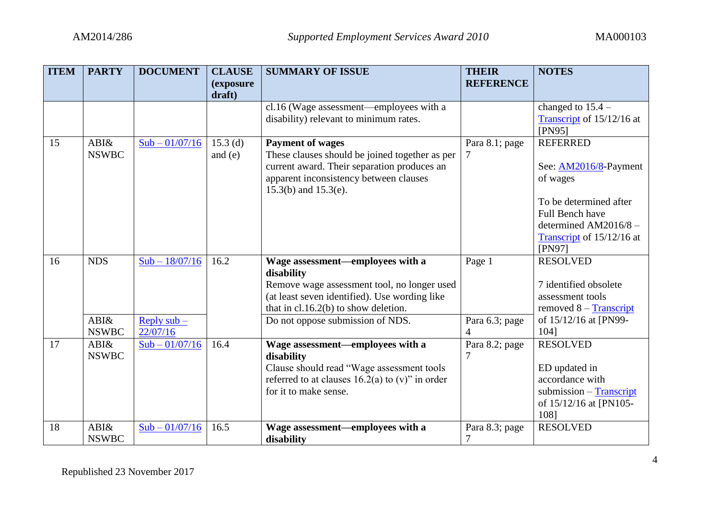| <b>ITEM</b> | <b>PARTY</b> | <b>DOCUMENT</b>          | <b>CLAUSE</b>               | <b>SUMMARY OF ISSUE</b>                                             | <b>THEIR</b><br><b>REFERENCE</b> | <b>NOTES</b>                                      |
|-------------|--------------|--------------------------|-----------------------------|---------------------------------------------------------------------|----------------------------------|---------------------------------------------------|
|             |              |                          | <i>(exposure)</i><br>draft) |                                                                     |                                  |                                                   |
|             |              |                          |                             | cl.16 (Wage assessment—employees with a                             |                                  | changed to $15.4 -$                               |
|             |              |                          |                             | disability) relevant to minimum rates.                              |                                  | Transcript of 15/12/16 at                         |
|             |              |                          |                             |                                                                     |                                  | [PN95]                                            |
| 15          | ABI&         | $Sub - 01/07/16$         | $15.3$ (d)                  | <b>Payment of wages</b>                                             | Para 8.1; page                   | <b>REFERRED</b>                                   |
|             | <b>NSWBC</b> |                          | and $(e)$                   | These clauses should be joined together as per                      |                                  |                                                   |
|             |              |                          |                             | current award. Their separation produces an                         |                                  | See: AM2016/8-Payment                             |
|             |              |                          |                             | apparent inconsistency between clauses<br>$15.3(b)$ and $15.3(e)$ . |                                  | of wages                                          |
|             |              |                          |                             |                                                                     |                                  | To be determined after                            |
|             |              |                          |                             |                                                                     |                                  | <b>Full Bench have</b>                            |
|             |              |                          |                             |                                                                     |                                  | determined AM2016/8 -                             |
|             |              |                          |                             |                                                                     |                                  | Transcript of 15/12/16 at                         |
|             |              |                          |                             |                                                                     |                                  | [PN97]                                            |
| 16          | <b>NDS</b>   | $Sub - 18/07/16$         | 16.2                        | Wage assessment-employees with a                                    | Page 1                           | <b>RESOLVED</b>                                   |
|             |              |                          |                             | disability                                                          |                                  |                                                   |
|             |              |                          |                             | Remove wage assessment tool, no longer used                         |                                  | 7 identified obsolete                             |
|             |              |                          |                             | (at least seven identified). Use wording like                       |                                  | assessment tools                                  |
|             | ABI&         |                          |                             | that in $cl.16.2(b)$ to show deletion.                              |                                  | removed $8 - Transcript$<br>of 15/12/16 at [PN99- |
|             | <b>NSWBC</b> | Reply $sub-$<br>22/07/16 |                             | Do not oppose submission of NDS.                                    | Para 6.3; page<br>$\overline{4}$ | 1041                                              |
| 17          | ABI&         | $Sub - 01/07/16$         | 16.4                        | Wage assessment-employees with a                                    | Para 8.2; page                   | <b>RESOLVED</b>                                   |
|             | <b>NSWBC</b> |                          |                             | disability                                                          |                                  |                                                   |
|             |              |                          |                             | Clause should read "Wage assessment tools                           |                                  | ED updated in                                     |
|             |              |                          |                             | referred to at clauses $16.2(a)$ to (v)" in order                   |                                  | accordance with                                   |
|             |              |                          |                             | for it to make sense.                                               |                                  | submission $-$ Transcript                         |
|             |              |                          |                             |                                                                     |                                  | of 15/12/16 at [PN105-                            |
|             |              |                          |                             |                                                                     |                                  | 108]                                              |
| 18          | ABI&         | $Sub - 01/07/16$         | 16.5                        | Wage assessment-employees with a                                    | Para 8.3; page                   | <b>RESOLVED</b>                                   |
|             | <b>NSWBC</b> |                          |                             | disability                                                          | $\overline{7}$                   |                                                   |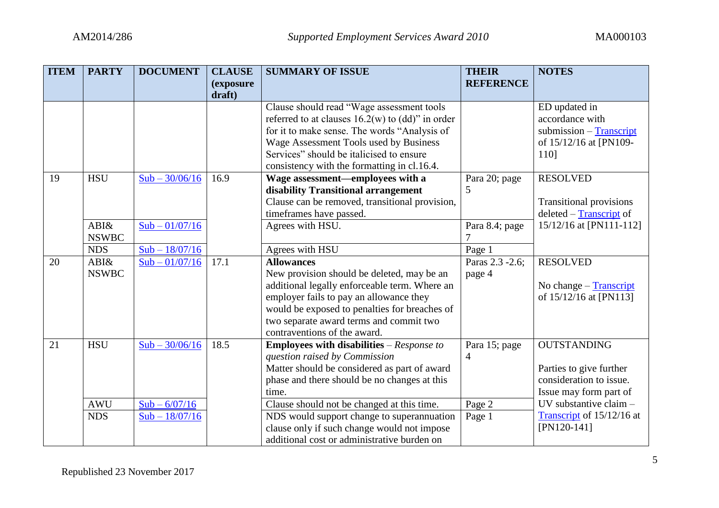| <b>ITEM</b> | <b>PARTY</b> | <b>DOCUMENT</b>  | <b>CLAUSE</b>               | <b>SUMMARY OF ISSUE</b>                               | <b>THEIR</b>     | <b>NOTES</b>                   |
|-------------|--------------|------------------|-----------------------------|-------------------------------------------------------|------------------|--------------------------------|
|             |              |                  | <i>(exposure)</i><br>draft) |                                                       | <b>REFERENCE</b> |                                |
|             |              |                  |                             | Clause should read "Wage assessment tools             |                  | ED updated in                  |
|             |              |                  |                             | referred to at clauses $16.2(w)$ to $(dd)$ " in order |                  | accordance with                |
|             |              |                  |                             | for it to make sense. The words "Analysis of          |                  | submission $-$ Transcript      |
|             |              |                  |                             | Wage Assessment Tools used by Business                |                  | of 15/12/16 at [PN109-         |
|             |              |                  |                             | Services" should be italicised to ensure              |                  | 110]                           |
|             |              |                  |                             | consistency with the formatting in cl.16.4.           |                  |                                |
| 19          | <b>HSU</b>   | $Sub - 30/06/16$ | 16.9                        | Wage assessment-employees with a                      | Para 20; page    | <b>RESOLVED</b>                |
|             |              |                  |                             | disability Transitional arrangement                   | 5                |                                |
|             |              |                  |                             | Clause can be removed, transitional provision,        |                  | <b>Transitional provisions</b> |
|             |              |                  |                             | timeframes have passed.                               |                  | deleted – Transcript of        |
|             | ABI&         | $Sub - 01/07/16$ |                             | Agrees with HSU.                                      | Para 8.4; page   | 15/12/16 at [PN111-112]        |
|             | <b>NSWBC</b> |                  |                             |                                                       |                  |                                |
|             | <b>NDS</b>   | $Sub - 18/07/16$ |                             | Agrees with HSU                                       | Page 1           |                                |
| 20          | ABI&         | $Sub - 01/07/16$ | 17.1                        | <b>Allowances</b>                                     | Paras 2.3 -2.6;  | <b>RESOLVED</b>                |
|             | <b>NSWBC</b> |                  |                             | New provision should be deleted, may be an            | page 4           |                                |
|             |              |                  |                             | additional legally enforceable term. Where an         |                  | No change - Transcript         |
|             |              |                  |                             | employer fails to pay an allowance they               |                  | of 15/12/16 at [PN113]         |
|             |              |                  |                             | would be exposed to penalties for breaches of         |                  |                                |
|             |              |                  |                             | two separate award terms and commit two               |                  |                                |
|             |              |                  |                             | contraventions of the award.                          |                  |                                |
| 21          | <b>HSU</b>   | $Sub - 30/06/16$ | 18.5                        | <b>Employees with disabilities</b> $-Response$ to     | Para 15; page    | <b>OUTSTANDING</b>             |
|             |              |                  |                             | question raised by Commission                         | 4                |                                |
|             |              |                  |                             | Matter should be considered as part of award          |                  | Parties to give further        |
|             |              |                  |                             | phase and there should be no changes at this          |                  | consideration to issue.        |
|             |              |                  |                             | time.                                                 |                  | Issue may form part of         |
|             | <b>AWU</b>   | $Sub - 6/07/16$  |                             | Clause should not be changed at this time.            | Page 2           | UV substantive claim -         |
|             | <b>NDS</b>   | $Sub - 18/07/16$ |                             | NDS would support change to superannuation            | Page 1           | Transcript of 15/12/16 at      |
|             |              |                  |                             | clause only if such change would not impose           |                  | $[PN120-141]$                  |
|             |              |                  |                             | additional cost or administrative burden on           |                  |                                |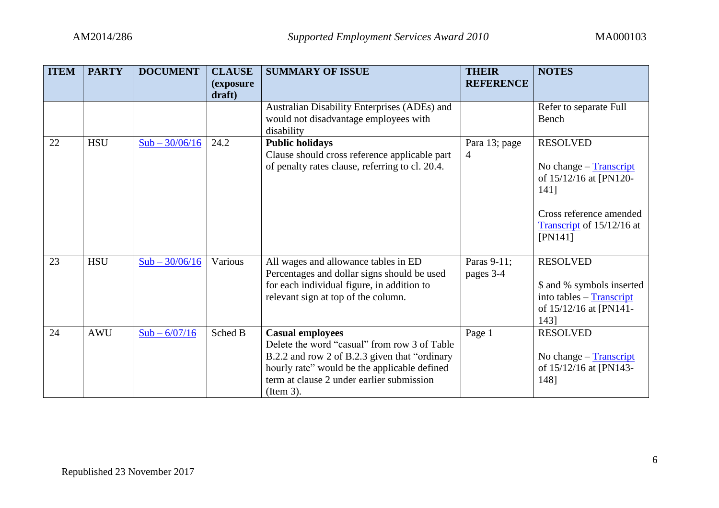| <b>ITEM</b> | <b>PARTY</b> | <b>DOCUMENT</b>  | <b>CLAUSE</b><br><i>(exposure)</i><br>draft) | <b>SUMMARY OF ISSUE</b>                                                                                                                                                                                                             | <b>THEIR</b><br><b>REFERENCE</b> | <b>NOTES</b>                                                                                                                                     |
|-------------|--------------|------------------|----------------------------------------------|-------------------------------------------------------------------------------------------------------------------------------------------------------------------------------------------------------------------------------------|----------------------------------|--------------------------------------------------------------------------------------------------------------------------------------------------|
|             |              |                  |                                              | Australian Disability Enterprises (ADEs) and<br>would not disadvantage employees with<br>disability                                                                                                                                 |                                  | Refer to separate Full<br>Bench                                                                                                                  |
| 22          | <b>HSU</b>   | $Sub - 30/06/16$ | 24.2                                         | <b>Public holidays</b><br>Clause should cross reference applicable part<br>of penalty rates clause, referring to cl. 20.4.                                                                                                          | Para 13; page<br>4               | <b>RESOLVED</b><br>No change - Transcript<br>of 15/12/16 at [PN120-<br>141]<br>Cross reference amended<br>Transcript of $15/12/16$ at<br>[PN141] |
| 23          | <b>HSU</b>   | $Sub - 30/06/16$ | Various                                      | All wages and allowance tables in ED<br>Percentages and dollar signs should be used<br>for each individual figure, in addition to<br>relevant sign at top of the column.                                                            | Paras 9-11;<br>pages 3-4         | <b>RESOLVED</b><br>\$ and % symbols inserted<br>into tables - Transcript<br>of 15/12/16 at [PN141-<br>1431                                       |
| 24          | <b>AWU</b>   | $Sub - 6/07/16$  | Sched B                                      | <b>Casual employees</b><br>Delete the word "casual" from row 3 of Table<br>B.2.2 and row 2 of B.2.3 given that "ordinary"<br>hourly rate" would be the applicable defined<br>term at clause 2 under earlier submission<br>(Item 3). | Page 1                           | <b>RESOLVED</b><br>No change - Transcript<br>of 15/12/16 at [PN143-<br>148]                                                                      |